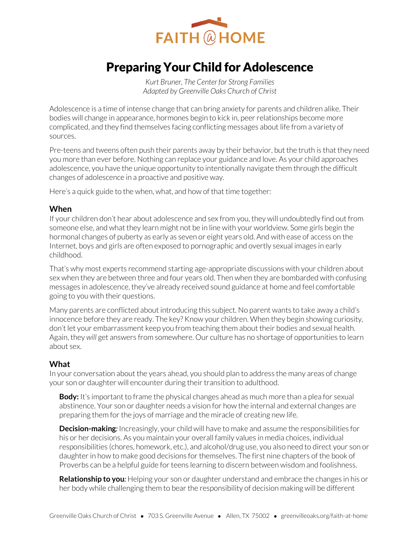

# Preparing Your Child for Adolescence

*Kurt Bruner, The Center for Strong Families Adapted by Greenville Oaks Church of Christ* 

Adolescence is a time of intense change that can bring anxiety for parents and children alike. Their bodies will change in appearance, hormones begin to kick in, peer relationships become more complicated, and they find themselves facing conflicting messages about life from a variety of sources.

Pre-teens and tweens often push their parents away by their behavior, but the truth is that they need you more than ever before. Nothing can replace your guidance and love. As your child approaches adolescence, you have the unique opportunity to intentionally navigate them through the difficult changes of adolescence in a proactive and positive way.

Here's a quick guide to the when, what, and how of that time together:

## **When**

If your children don't hear about adolescence and sex from you, they will undoubtedly find out from someone else, and what they learn might not be in line with your worldview. Some girls begin the hormonal changes of puberty as early as seven or eight years old. And with ease of access on the Internet, boys and girls are often exposed to pornographic and overtly sexual images in early childhood.

That's why most experts recommend starting age-appropriate discussions with your children about sex when they are between three and four years old. Then when they are bombarded with confusing messages in adolescence, they've already received sound guidance at home and feel comfortable going to you with their questions.

Many parents are conflicted about introducing this subject. No parent wants to take away a child's innocence before they are ready. The key? Know your children. When they begin showing curiosity, don't let your embarrassment keep you from teaching them about their bodies and sexual health. Again, they *will* get answers from somewhere. Our culture has no shortage of opportunities to learn about sex.

### **What**

In your conversation about the years ahead, you should plan to address the many areas of change your son or daughter will encounter during their transition to adulthood.

**Body:** It's important to frame the physical changes ahead as much more than a plea for sexual abstinence. Your son or daughter needs a vision for how the internal and external changes are preparing them for the joys of marriage and the miracle of creating new life.

**Decision-making***:* Increasingly, your child will have to make and assume the responsibilities for his or her decisions. As you maintain your overall family values in media choices, individual responsibilities (chores, homework, etc.), and alcohol/drug use, you also need to direct your son or daughter in how to make good decisions for themselves. The first nine chapters of the book of Proverbs can be a helpful guide for teens learning to discern between wisdom and foolishness.

**Relationship to you***:* Helping your son or daughter understand and embrace the changes in his or her body while challenging them to bear the responsibility of decision making will be different